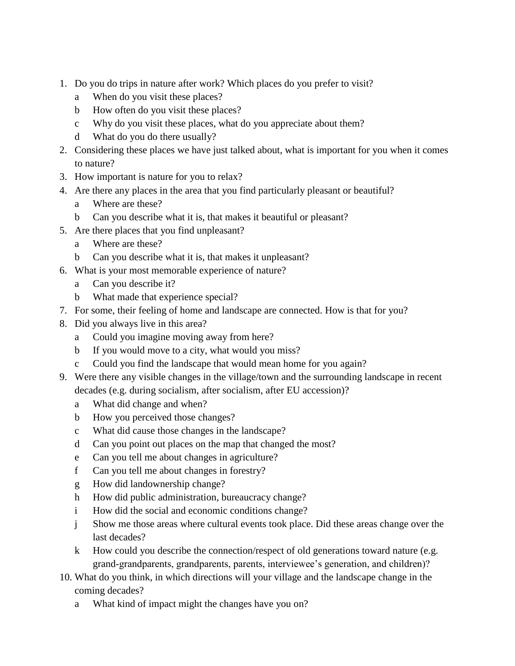- 1. Do you do trips in nature after work? Which places do you prefer to visit?
	- a When do you visit these places?
	- b How often do you visit these places?
	- c Why do you visit these places, what do you appreciate about them?
	- d What do you do there usually?
- 2. Considering these places we have just talked about, what is important for you when it comes to nature?
- 3. How important is nature for you to relax?
- 4. Are there any places in the area that you find particularly pleasant or beautiful?
	- a Where are these?
	- b Can you describe what it is, that makes it beautiful or pleasant?
- 5. Are there places that you find unpleasant?
	- a Where are these?
	- b Can you describe what it is, that makes it unpleasant?
- 6. What is your most memorable experience of nature?
	- a Can you describe it?
	- b What made that experience special?
- 7. For some, their feeling of home and landscape are connected. How is that for you?
- 8. Did you always live in this area?
	- a Could you imagine moving away from here?
	- b If you would move to a city, what would you miss?
	- c Could you find the landscape that would mean home for you again?
- 9. Were there any visible changes in the village/town and the surrounding landscape in recent decades (e.g. during socialism, after socialism, after EU accession)?
	- a What did change and when?
	- b How you perceived those changes?
	- c What did cause those changes in the landscape?
	- d Can you point out places on the map that changed the most?
	- e Can you tell me about changes in agriculture?
	- f Can you tell me about changes in forestry?
	- g How did landownership change?
	- h How did public administration, bureaucracy change?
	- i How did the social and economic conditions change?
	- j Show me those areas where cultural events took place. Did these areas change over the last decades?
	- k How could you describe the connection/respect of old generations toward nature (e.g. grand-grandparents, grandparents, parents, interviewee's generation, and children)?
- 10. What do you think, in which directions will your village and the landscape change in the coming decades?
	- a What kind of impact might the changes have you on?